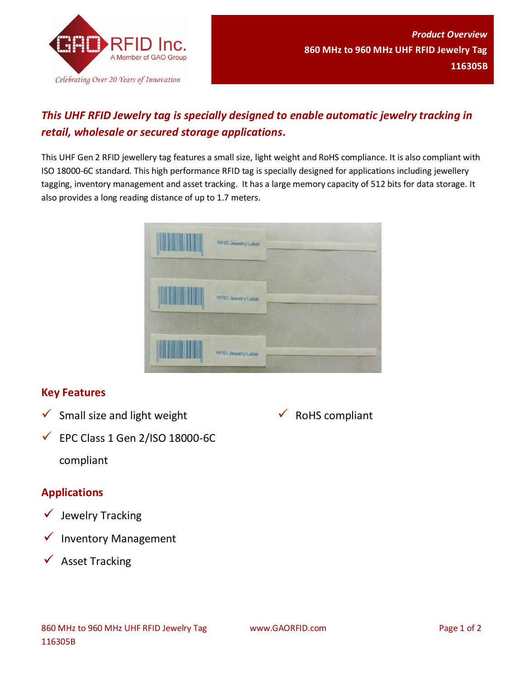

## *This UHF RFID Jewelry tag is specially designed to enable automatic jewelry tracking in retail, wholesale or secured storage applications.*

This UHF Gen 2 RFID jewellery tag features a small size, light weight and RoHS compliance. It is also compliant with ISO 18000-6C standard. This high performance RFID tag is specially designed for applications including jewellery tagging, inventory management and asset tracking. It has a large memory capacity of 512 bits for data storage. It also provides a long reading distance of up to 1.7 meters.

| RFID Jewelry Label |  |
|--------------------|--|
| RFID Jewelry Label |  |
| RFID Jewelry Label |  |

#### **Key Features**

 $\checkmark$  Small size and light weight



 $\checkmark$  EPC Class 1 Gen 2/ISO 18000-6C compliant

#### **Applications**

- $\checkmark$  Jewelry Tracking
- $\checkmark$  Inventory Management
- $\checkmark$  Asset Tracking